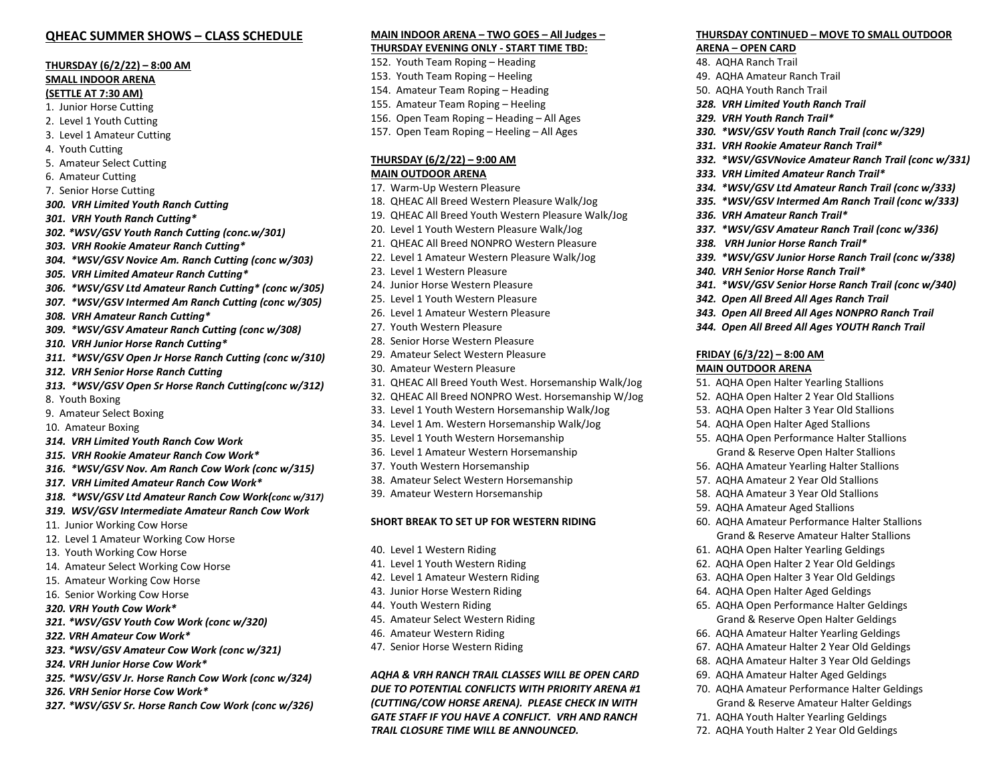# **QHEAC SUMMER SHOWS – CLASS SCHEDULE**

# **THURSDAY (6/2/22) – 8:00 AM SMALL INDOOR ARENA (SETTLE AT 7:30 AM)**

- 1. Junior Horse Cutting
- 2. Level 1 Youth Cutting
- 3. Level 1 Amateur Cutting
- 4. Youth Cutting
- 5. Amateur Select Cutting
- 6. Amateur Cutting
- 7. Senior Horse Cutting
- *300. VRH Limited Youth Ranch Cutting*
- *301. VRH Youth Ranch Cutting\**
- *302. \*WSV/GSV Youth Ranch Cutting (conc.w/301)*
- *303. VRH Rookie Amateur Ranch Cutting\**
- *304. \*WSV/GSV Novice Am. Ranch Cutting (conc w/303)*
- *305. VRH Limited Amateur Ranch Cutting\**
- *306. \*WSV/GSV Ltd Amateur Ranch Cutting\* (conc w/305)*
- *307. \*WSV/GSV Intermed Am Ranch Cutting (conc w/305)*
- *308. VRH Amateur Ranch Cutting\**
- *309. \*WSV/GSV Amateur Ranch Cutting (conc w/308)*
- *310. VRH Junior Horse Ranch Cutting\**
- *311. \*WSV/GSV Open Jr Horse Ranch Cutting (conc w/310)*
- *312. VRH Senior Horse Ranch Cutting*
- *313. \*WSV/GSV Open Sr Horse Ranch Cutting(conc w/312)* 8. Youth Boxing
- 9. Amateur Select Boxing
- 10. Amateur Boxing
- *314. VRH Limited Youth Ranch Cow Work*
- *315. VRH Rookie Amateur Ranch Cow Work\**
- *316. \*WSV/GSV Nov. Am Ranch Cow Work (conc w/315)*
- *317. VRH Limited Amateur Ranch Cow Work\**
- *318. \*WSV/GSV Ltd Amateur Ranch Cow Work(conc w/317)*
- *319. WSV/GSV Intermediate Amateur Ranch Cow Work*
- 11. Junior Working Cow Horse
- 12. Level 1 Amateur Working Cow Horse
- 13. Youth Working Cow Horse
- 14. Amateur Select Working Cow Horse
- 15. Amateur Working Cow Horse
- 16. Senior Working Cow Horse
- *320. VRH Youth Cow Work\**
- *321. \*WSV/GSV Youth Cow Work (conc w/320)*
- *322. VRH Amateur Cow Work\**
- *323. \*WSV/GSV Amateur Cow Work (conc w/321)*
- *324. VRH Junior Horse Cow Work\**
- *325. \*WSV/GSV Jr. Horse Ranch Cow Work (conc w/324)*
- *326. VRH Senior Horse Cow Work\**
- *327. \*WSV/GSV Sr. Horse Ranch Cow Work (conc w/326)*

# **MAIN INDOOR ARENA – TWO GOES – All Judges – THURSDAY EVENING ONLY - START TIME TBD:**

- 152. Youth Team Roping Heading 153. Youth Team Roping – Heeling 154. Amateur Team Roping – Heading 155. Amateur Team Roping – Heeling
- 156. Open Team Roping Heading All Ages
- 157. Open Team Roping Heeling All Ages

### **THURSDAY (6/2/22) – 9:00 AM**

#### **MAIN OUTDOOR ARENA**

- 17. Warm-Up Western Pleasure
- 18. QHEAC All Breed Western Pleasure Walk/Jog
- 19. QHEAC All Breed Youth Western Pleasure Walk/Jog
- 20. Level 1 Youth Western Pleasure Walk/Jog
- 21. QHEAC All Breed NONPRO Western Pleasure
- 22. Level 1 Amateur Western Pleasure Walk/Jog
- 23. Level 1 Western Pleasure
- 24. Junior Horse Western Pleasure
- 25. Level 1 Youth Western Pleasure
- 26. Level 1 Amateur Western Pleasure
- 27. Youth Western Pleasure
- 28. Senior Horse Western Pleasure
- 29. Amateur Select Western Pleasure
- 30. Amateur Western Pleasure
- 31. QHEAC All Breed Youth West. Horsemanship Walk/Jog
- 32. QHEAC All Breed NONPRO West. Horsemanship W/Jog
- 33. Level 1 Youth Western Horsemanship Walk/Jog
- 34. Level 1 Am. Western Horsemanship Walk/Jog
- 35. Level 1 Youth Western Horsemanship
- 36. Level 1 Amateur Western Horsemanship
- 37. Youth Western Horsemanship
- 38. Amateur Select Western Horsemanship
- 39. Amateur Western Horsemanship

#### **SHORT BREAK TO SET UP FOR WESTERN RIDING**

- 40. Level 1 Western Riding
- 41. Level 1 Youth Western Riding
- 42. Level 1 Amateur Western Riding
- 43. Junior Horse Western Riding
- 44. Youth Western Riding
- 45. Amateur Select Western Riding
- 46. Amateur Western Riding
- 47. Senior Horse Western Riding

# *AQHA & VRH RANCH TRAIL CLASSES WILL BE OPEN CARD*

*DUE TO POTENTIAL CONFLICTS WITH PRIORITY ARENA #1 (CUTTING/COW HORSE ARENA). PLEASE CHECK IN WITH GATE STAFF IF YOU HAVE A CONFLICT. VRH AND RANCH TRAIL CLOSURE TIME WILL BE ANNOUNCED.*

### **THURSDAY CONTINUED – MOVE TO SMALL OUTDOOR ARENA – OPEN CARD**

- 48. AQHA Ranch Trail 49. AQHA Amateur Ranch Trail
- 50. AQHA Youth Ranch Trail
- *328. VRH Limited Youth Ranch Trail*
- *329. VRH Youth Ranch Trail\**
- *330. \*WSV/GSV Youth Ranch Trail (conc w/329)*
- *331. VRH Rookie Amateur Ranch Trail\**
- *332. \*WSV/GSVNovice Amateur Ranch Trail (conc w/331)*
- *333. VRH Limited Amateur Ranch Trail\**
- *334. \*WSV/GSV Ltd Amateur Ranch Trail (conc w/333)*
- *335. \*WSV/GSV Intermed Am Ranch Trail (conc w/333)*
- *336. VRH Amateur Ranch Trail\**
- *337. \*WSV/GSV Amateur Ranch Trail (conc w/336)*
- *338. VRH Junior Horse Ranch Trail\**

*340. VRH Senior Horse Ranch Trail\**

**FRIDAY (6/3/22) – 8:00 AM MAIN OUTDOOR ARENA**

*342. Open All Breed All Ages Ranch Trail*

51. AQHA Open Halter Yearling Stallions 52. AQHA Open Halter 2 Year Old Stallions 53. AQHA Open Halter 3 Year Old Stallions 54. AQHA Open Halter Aged Stallions 55. AQHA Open Performance Halter Stallions Grand & Reserve Open Halter Stallions 56. AQHA Amateur Yearling Halter Stallions 57. AQHA Amateur 2 Year Old Stallions 58. AQHA Amateur 3 Year Old Stallions 59. AQHA Amateur Aged Stallions

60. AQHA Amateur Performance Halter Stallions Grand & Reserve Amateur Halter Stallions

61. AQHA Open Halter Yearling Geldings 62. AQHA Open Halter 2 Year Old Geldings 63. AQHA Open Halter 3 Year Old Geldings 64. AQHA Open Halter Aged Geldings 65. AQHA Open Performance Halter Geldings Grand & Reserve Open Halter Geldings 66. AQHA Amateur Halter Yearling Geldings 67. AQHA Amateur Halter 2 Year Old Geldings 68. AQHA Amateur Halter 3 Year Old Geldings 69. AQHA Amateur Halter Aged Geldings 70. AQHA Amateur Performance Halter Geldings Grand & Reserve Amateur Halter Geldings

71. AQHA Youth Halter Yearling Geldings 72. AQHA Youth Halter 2 Year Old Geldings

*339. \*WSV/GSV Junior Horse Ranch Trail (conc w/338)*

*343. Open All Breed All Ages NONPRO Ranch Trail 344. Open All Breed All Ages YOUTH Ranch Trail*

*341. \*WSV/GSV Senior Horse Ranch Trail (conc w/340)*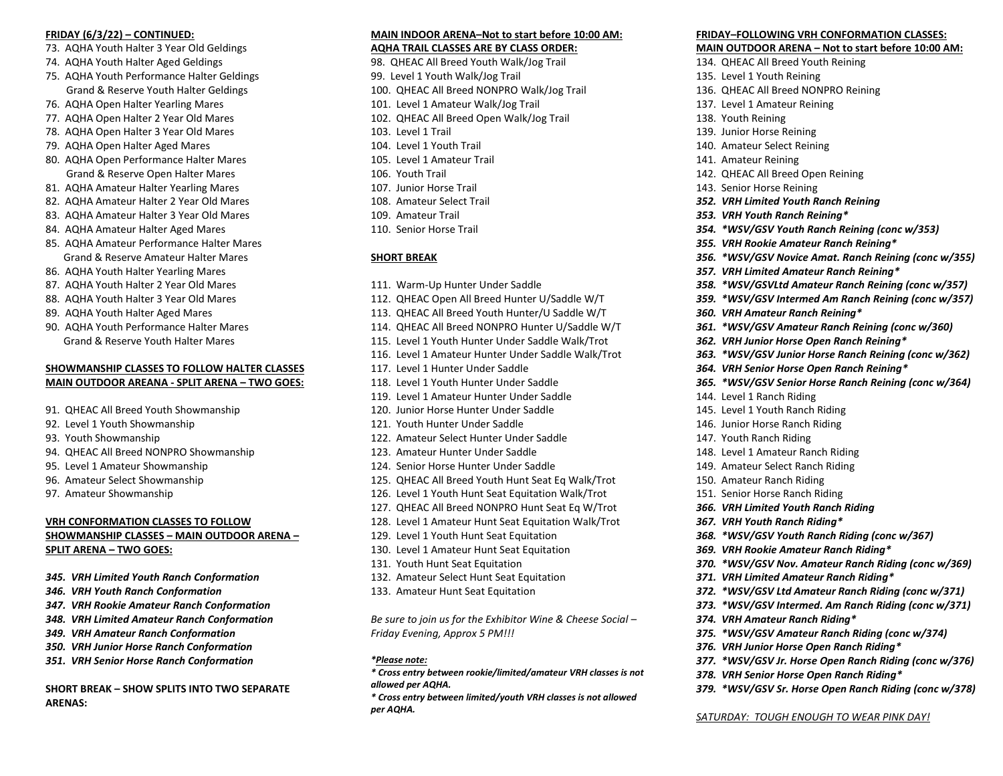#### **FRIDAY (6/3/22) – CONTINUED:**

- 73. AQHA Youth Halter 3 Year Old Geldings
- 74. AQHA Youth Halter Aged Geldings
- 75. AQHA Youth Performance Halter Geldings Grand & Reserve Youth Halter Geldings
- 76. AQHA Open Halter Yearling Mares
- 77. AQHA Open Halter 2 Year Old Mares
- 78. AQHA Open Halter 3 Year Old Mares
- 79. AQHA Open Halter Aged Mares
- 80. AQHA Open Performance Halter Mares Grand & Reserve Open Halter Mares
- 81. AQHA Amateur Halter Yearling Mares
- 82. AQHA Amateur Halter 2 Year Old Mares
- 83. AQHA Amateur Halter 3 Year Old Mares
- 84. AQHA Amateur Halter Aged Mares
- 85. AQHA Amateur Performance Halter Mares Grand & Reserve Amateur Halter Mares
- 86. AQHA Youth Halter Yearling Mares
- 87. AQHA Youth Halter 2 Year Old Mares
- 88. AQHA Youth Halter 3 Year Old Mares
- 89. AQHA Youth Halter Aged Mares
- 90. AQHA Youth Performance Halter Mares Grand & Reserve Youth Halter Mares

#### **SHOWMANSHIP CLASSES TO FOLLOW HALTER CLASSES MAIN OUTDOOR AREANA - SPLIT ARENA – TWO GOES:**

- 91. QHEAC All Breed Youth Showmanship
- 92. Level 1 Youth Showmanship
- 93. Youth Showmanship
- 94. QHEAC All Breed NONPRO Showmanship
- 95. Level 1 Amateur Showmanship
- 96. Amateur Select Showmanship
- 97. Amateur Showmanship

# **VRH CONFORMATION CLASSES TO FOLLOW SHOWMANSHIP CLASSES – MAIN OUTDOOR ARENA – SPLIT ARENA – TWO GOES:**

- *345. VRH Limited Youth Ranch Conformation*
- *346. VRH Youth Ranch Conformation*
- *347. VRH Rookie Amateur Ranch Conformation*
- *348. VRH Limited Amateur Ranch Conformation*
- *349. VRH Amateur Ranch Conformation*
- *350. VRH Junior Horse Ranch Conformation*
- *351. VRH Senior Horse Ranch Conformation*

#### **SHORT BREAK – SHOW SPLITS INTO TWO SEPARATE ARENAS:**

#### **MAIN INDOOR ARENA–Not to start before 10:00 AM: AQHA TRAIL CLASSES ARE BY CLASS ORDER:**

- 98. QHEAC All Breed Youth Walk/Jog Trail 99. Level 1 Youth Walk/Jog Trail 100. QHEAC All Breed NONPRO Walk/Jog Trail 101. Level 1 Amateur Walk/Jog Trail 102. QHEAC All Breed Open Walk/Jog Trail 103. Level 1 Trail 104. Level 1 Youth Trail 105. Level 1 Amateur Trail
- 106. Youth Trail
- 107. Junior Horse Trail
- 108. Amateur Select Trail
- 109. Amateur Trail
- 110. Senior Horse Trail

# **SHORT BREAK**

- 111. Warm-Up Hunter Under Saddle
- 112. QHEAC Open All Breed Hunter U/Saddle W/T
- 113. QHEAC All Breed Youth Hunter/U Saddle W/T
- 114. QHEAC All Breed NONPRO Hunter U/Saddle W/T
- 115. Level 1 Youth Hunter Under Saddle Walk/Trot
- 116. Level 1 Amateur Hunter Under Saddle Walk/Trot
- 117. Level 1 Hunter Under Saddle
- 118. Level 1 Youth Hunter Under Saddle
- 119. Level 1 Amateur Hunter Under Saddle
- 120. Junior Horse Hunter Under Saddle
- 121. Youth Hunter Under Saddle
- 122. Amateur Select Hunter Under Saddle
- 123. Amateur Hunter Under Saddle
- 124. Senior Horse Hunter Under Saddle
- 125. QHEAC All Breed Youth Hunt Seat Eq Walk/Trot
- 126. Level 1 Youth Hunt Seat Equitation Walk/Trot
- 127. QHEAC All Breed NONPRO Hunt Seat Eq W/Trot
- 128. Level 1 Amateur Hunt Seat Equitation Walk/Trot
- 129. Level 1 Youth Hunt Seat Equitation
- 130. Level 1 Amateur Hunt Seat Equitation
- 131. Youth Hunt Seat Equitation
- 132. Amateur Select Hunt Seat Equitation
- 133. Amateur Hunt Seat Equitation

*Be sure to join us for the Exhibitor Wine & Cheese Social – Friday Evening, Approx 5 PM!!!*

#### *\*Please note:*

- *\* Cross entry between rookie/limited/amateur VRH classes is not allowed per AQHA.*
- *\* Cross entry between limited/youth VRH classes is not allowed per AQHA.*

# **FRIDAY–FOLLOWING VRH CONFORMATION CLASSES:**

- **MAIN OUTDOOR ARENA – Not to start before 10:00 AM:** 134. QHEAC All Breed Youth Reining 135. Level 1 Youth Reining 136. QHEAC All Breed NONPRO Reining 137. Level 1 Amateur Reining 138. Youth Reining 139. Junior Horse Reining 140. Amateur Select Reining 141. Amateur Reining 142. QHEAC All Breed Open Reining 143. Senior Horse Reining *352. VRH Limited Youth Ranch Reining 353. VRH Youth Ranch Reining\* 354. \*WSV/GSV Youth Ranch Reining (conc w/353) 355. VRH Rookie Amateur Ranch Reining\* 356. \*WSV/GSV Novice Amat. Ranch Reining (conc w/355) 357. VRH Limited Amateur Ranch Reining\* 358. \*WSV/GSVLtd Amateur Ranch Reining (conc w/357) 359. \*WSV/GSV Intermed Am Ranch Reining (conc w/357) 360. VRH Amateur Ranch Reining\* 361. \*WSV/GSV Amateur Ranch Reining (conc w/360) 362. VRH Junior Horse Open Ranch Reining\* 363. \*WSV/GSV Junior Horse Ranch Reining (conc w/362) 364. VRH Senior Horse Open Ranch Reining\* 365. \*WSV/GSV Senior Horse Ranch Reining (conc w/364)* 144. Level 1 Ranch Riding 145. Level 1 Youth Ranch Riding 146. Junior Horse Ranch Riding 147. Youth Ranch Riding 148. Level 1 Amateur Ranch Riding 149. Amateur Select Ranch Riding 150. Amateur Ranch Riding 151. Senior Horse Ranch Riding *366. VRH Limited Youth Ranch Riding 367. VRH Youth Ranch Riding\* 368. \*WSV/GSV Youth Ranch Riding (conc w/367) 369. VRH Rookie Amateur Ranch Riding\* 370. \*WSV/GSV Nov. Amateur Ranch Riding (conc w/369) 371. VRH Limited Amateur Ranch Riding\* 372. \*WSV/GSV Ltd Amateur Ranch Riding (conc w/371) 373. \*WSV/GSV Intermed. Am Ranch Riding (conc w/371) 374. VRH Amateur Ranch Riding\* 375. \*WSV/GSV Amateur Ranch Riding (conc w/374) 376. VRH Junior Horse Open Ranch Riding\* 377. \*WSV/GSV Jr. Horse Open Ranch Riding (conc w/376) 378. VRH Senior Horse Open Ranch Riding\* 379. \*WSV/GSV Sr. Horse Open Ranch Riding (conc w/378)*
- *SATURDAY: TOUGH ENOUGH TO WEAR PINK DAY!*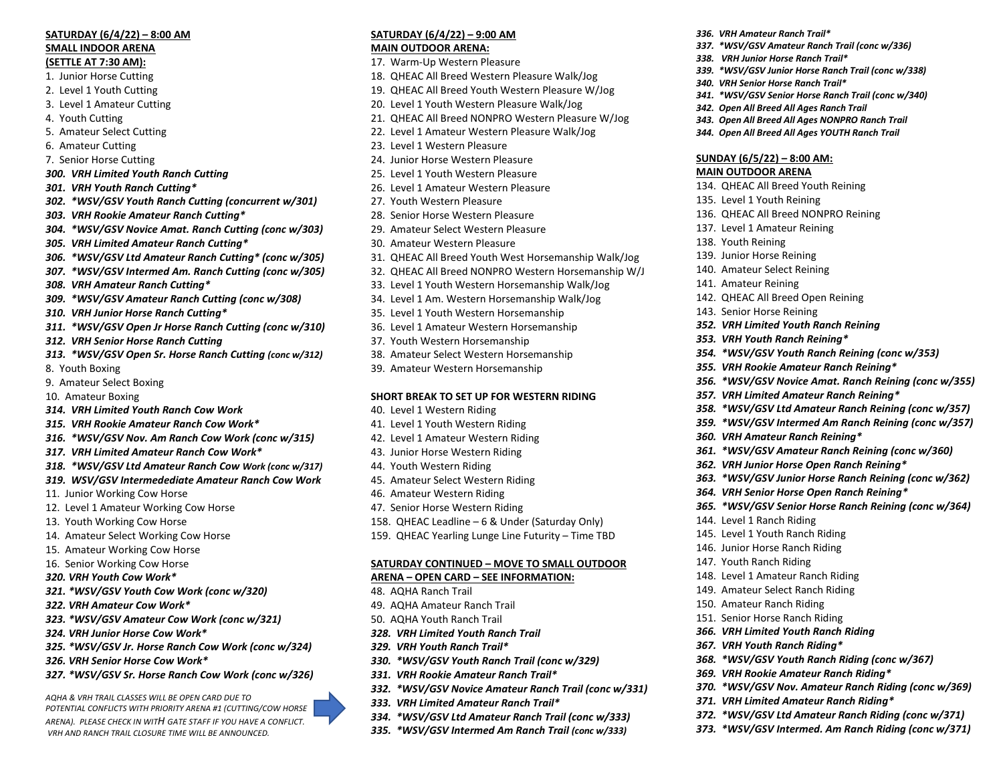# **SATURDAY (6/4/22) – 8:00 AM SMALL INDOOR ARENA (SETTLE AT 7:30 AM):**

- 1. Junior Horse Cutting
- 2. Level 1 Youth Cutting
- 3. Level 1 Amateur Cutting
- 4. Youth Cutting
- 5. Amateur Select Cutting
- 6. Amateur Cutting
- 7. Senior Horse Cutting
- *300. VRH Limited Youth Ranch Cutting*
- *301. VRH Youth Ranch Cutting\**
- *302. \*WSV/GSV Youth Ranch Cutting (concurrent w/301)*
- *303. VRH Rookie Amateur Ranch Cutting\**
- *304. \*WSV/GSV Novice Amat. Ranch Cutting (conc w/303)*
- *305. VRH Limited Amateur Ranch Cutting\**
- *306. \*WSV/GSV Ltd Amateur Ranch Cutting\* (conc w/305)*
- *307. \*WSV/GSV Intermed Am. Ranch Cutting (conc w/305)*
- *308. VRH Amateur Ranch Cutting\**
- *309. \*WSV/GSV Amateur Ranch Cutting (conc w/308)*
- *310. VRH Junior Horse Ranch Cutting\**
- *311. \*WSV/GSV Open Jr Horse Ranch Cutting (conc w/310)*
- *312. VRH Senior Horse Ranch Cutting*
- *313. \*WSV/GSV Open Sr. Horse Ranch Cutting (conc w/312)*
- 8. Youth Boxing
- 9. Amateur Select Boxing
- 10. Amateur Boxing
- *314. VRH Limited Youth Ranch Cow Work*
- *315. VRH Rookie Amateur Ranch Cow Work\**
- *316. \*WSV/GSV Nov. Am Ranch Cow Work (conc w/315)*
- *317. VRH Limited Amateur Ranch Cow Work\**
- *318. \*WSV/GSV Ltd Amateur Ranch Cow Work (conc w/317)*
- *319. WSV/GSV Intermedediate Amateur Ranch Cow Work*
- 11. Junior Working Cow Horse
- 12. Level 1 Amateur Working Cow Horse
- 13. Youth Working Cow Horse
- 14. Amateur Select Working Cow Horse
- 15. Amateur Working Cow Horse
- 16. Senior Working Cow Horse
- *320. VRH Youth Cow Work\**
- *321. \*WSV/GSV Youth Cow Work (conc w/320)*
- *322. VRH Amateur Cow Work\**
- *323. \*WSV/GSV Amateur Cow Work (conc w/321)*
- *324. VRH Junior Horse Cow Work\**
- *325. \*WSV/GSV Jr. Horse Ranch Cow Work (conc w/324)*
- *326. VRH Senior Horse Cow Work\**
- *327. \*WSV/GSV Sr. Horse Ranch Cow Work (conc w/326)*

#### *AQHA & VRH TRAIL CLASSES WILL BE OPEN CARD DUE TO*

*POTENTIAL CONFLICTS WITH PRIORITY ARENA #1 (CUTTING/COW HORSE ARENA). PLEASE CHECK IN WITH GATE STAFF IF YOU HAVE A CONFLICT. VRH AND RANCH TRAIL CLOSURE TIME WILL BE ANNOUNCED.*

# **SATURDAY (6/4/22) – 9:00 AM MAIN OUTDOOR ARENA:**

- 17. Warm-Up Western Pleasure
- 18. QHEAC All Breed Western Pleasure Walk/Jog
- 19. QHEAC All Breed Youth Western Pleasure W/Jog
- 20. Level 1 Youth Western Pleasure Walk/Jog
- 21. QHEAC All Breed NONPRO Western Pleasure W/Jog
- 22. Level 1 Amateur Western Pleasure Walk/Jog
- 23. Level 1 Western Pleasure
- 24. Junior Horse Western Pleasure
- 25. Level 1 Youth Western Pleasure
- 26. Level 1 Amateur Western Pleasure
- 27. Youth Western Pleasure
- 28. Senior Horse Western Pleasure
- 29. Amateur Select Western Pleasure
- 30. Amateur Western Pleasure
- 31. QHEAC All Breed Youth West Horsemanship Walk/Jog
- 32. QHEAC All Breed NONPRO Western Horsemanship W/J
- 33. Level 1 Youth Western Horsemanship Walk/Jog
- 34. Level 1 Am. Western Horsemanship Walk/Jog
- 35. Level 1 Youth Western Horsemanship
- 36. Level 1 Amateur Western Horsemanship
- 37. Youth Western Horsemanship
- 38. Amateur Select Western Horsemanship
- 39. Amateur Western Horsemanship

#### **SHORT BREAK TO SET UP FOR WESTERN RIDING**

- 40. Level 1 Western Riding
- 41. Level 1 Youth Western Riding
- 42. Level 1 Amateur Western Riding
- 43. Junior Horse Western Riding
- 44. Youth Western Riding
- 45. Amateur Select Western Riding
- 46. Amateur Western Riding
- 47. Senior Horse Western Riding
- 158. QHEAC Leadline 6 & Under (Saturday Only)
- 159. QHEAC Yearling Lunge Line Futurity Time TBD

# **SATURDAY CONTINUED – MOVE TO SMALL OUTDOOR**

- **ARENA – OPEN CARD – SEE INFORMATION:**
- 48. AQHA Ranch Trail
- 49. AQHA Amateur Ranch Trail
- 50. AQHA Youth Ranch Trail
- *328. VRH Limited Youth Ranch Trail*
- *329. VRH Youth Ranch Trail\**
- *330. \*WSV/GSV Youth Ranch Trail (conc w/329)*
- *331. VRH Rookie Amateur Ranch Trail\**
- *332. \*WSV/GSV Novice Amateur Ranch Trail (conc w/331)*
- *333. VRH Limited Amateur Ranch Trail\**
- *334. \*WSV/GSV Ltd Amateur Ranch Trail (conc w/333)*
- *335. \*WSV/GSV Intermed Am Ranch Trail (conc w/333)*

*336. VRH Amateur Ranch Trail\**

- *337. \*WSV/GSV Amateur Ranch Trail (conc w/336)*
- *338. VRH Junior Horse Ranch Trail\**

**SUNDAY (6/5/22) – 8:00 AM: MAIN OUTDOOR ARENA**

135. Level 1 Youth Reining

143. Senior Horse Reining

138. Youth Reining 139. Junior Horse Reining 140. Amateur Select Reining 141. Amateur Reining

137. Level 1 Amateur Reining

- *339. \*WSV/GSV Junior Horse Ranch Trail (conc w/338) 341. \*WSV/GSV Senior Horse Ranch Trail (conc w/340)*
- *340. VRH Senior Horse Ranch Trail\**

*342. Open All Breed All Ages Ranch Trail 343. Open All Breed All Ages NONPRO Ranch Trail 344. Open All Breed All Ages YOUTH Ranch Trail*

134. QHEAC All Breed Youth Reining

142. QHEAC All Breed Open Reining

*352. VRH Limited Youth Ranch Reining 353. VRH Youth Ranch Reining\**

*355. VRH Rookie Amateur Ranch Reining\**

*357. VRH Limited Amateur Ranch Reining\**

*362. VRH Junior Horse Open Ranch Reining\**

*364. VRH Senior Horse Open Ranch Reining\**

*368. \*WSV/GSV Youth Ranch Riding (conc w/367)*

*370. \*WSV/GSV Nov. Amateur Ranch Riding (conc w/369)*

*372. \*WSV/GSV Ltd Amateur Ranch Riding (conc w/371) 373. \*WSV/GSV Intermed. Am Ranch Riding (conc w/371)*

*369. VRH Rookie Amateur Ranch Riding\**

*371. VRH Limited Amateur Ranch Riding\**

*360. VRH Amateur Ranch Reining\**

148. Level 1 Amateur Ranch Riding 149. Amateur Select Ranch Riding 150. Amateur Ranch Riding 151. Senior Horse Ranch Riding *366. VRH Limited Youth Ranch Riding 367. VRH Youth Ranch Riding\**

144. Level 1 Ranch Riding 145. Level 1 Youth Ranch Riding 146. Junior Horse Ranch Riding 147. Youth Ranch Riding

*354. \*WSV/GSV Youth Ranch Reining (conc w/353)*

*356. \*WSV/GSV Novice Amat. Ranch Reining (conc w/355)*

*358. \*WSV/GSV Ltd Amateur Ranch Reining (conc w/357) 359. \*WSV/GSV Intermed Am Ranch Reining (conc w/357)*

*361. \*WSV/GSV Amateur Ranch Reining (conc w/360)*

*363. \*WSV/GSV Junior Horse Ranch Reining (conc w/362)*

*365. \*WSV/GSV Senior Horse Ranch Reining (conc w/364)*

136. QHEAC All Breed NONPRO Reining